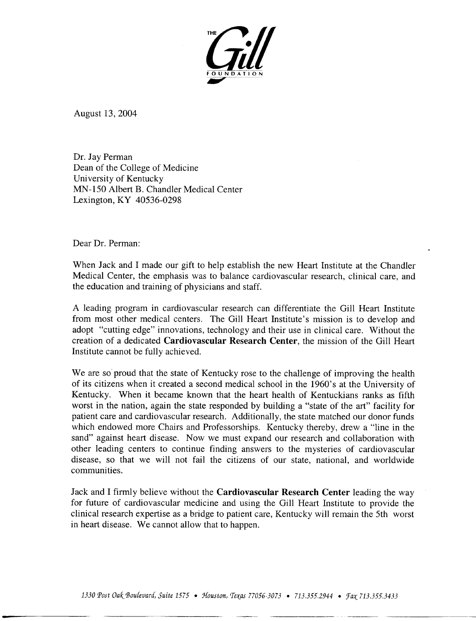

August 13, 2004

Dr. Jay Perman Dean of the College of Medicine University of Kentucky MN-150 Albert B. Chandler Medical Center Lexington, KY 40536-0298

Dear Dr. Perman:

When Jack and I made our gift to help establish the new Heart Institute at the Chandler Medical Center, the emphasis was to balance cardiovascular research, clinical care, and the education and training of physicians and staff.

A leading program in cardiovascular research can differentiate the Gill Heart Institute from most other medical centers. The Gill Heart Institute's mission is to develop and adopt "cutting edge" innovations, technology and their use in clinical care. Without the creation of a dedicated Cardiovascular Research Center, the mission of the Gill Heart Institute cannot be fully achieved.

We are so proud that the state of Kentucky rose to the challenge of improving the health of its citizens when it created a second medical school in the 1960's at the University of Kentucky. When it became known that the heart health of Kentuckians ranks as fifth worst in the nation, again the state responded by building a "state of the art" facility for patient care and cardiovascular research. Additionally, the state matched our donor funds which endowed more Chairs and Professorships. Kentucky thereby, drew a "line in the sand" against heart disease. Now we must expand our research and collaboration with other leading centers to continue finding answers to the mysteries of cardiovascular disease, so that we will not fail the citizens of our state, national, and worldwide communities.

Jack and I firmly believe without the Cardiovascular Research Center leading the way for future of cardiovascular medicine and using the Gill Heart Institute to provide the clinical research expertise as a bridge to patient care, Kentucky will remain the 5th worst in heart disease. We cannot allow that to happen.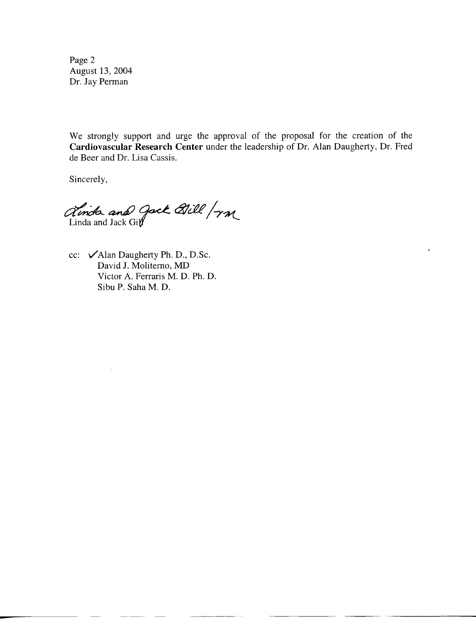Page 2 August 13, 2004 Dr. Jay Perman

We strongly support and urge the approval of the proposal for the creation of the Cardiovascular Research Center under the leadership of Dr. Alan Daugherty, Dr. Fred de Beer and Dr. Lisa Cassis.

Sincerely,

ainda and gack Bill / rm

cc: VAlan Daugherty Ph. D., D.Sc. David J. Moliterno, MD Victor A. Ferraris M. D. Ph. D. Sibu P. Saha M. D.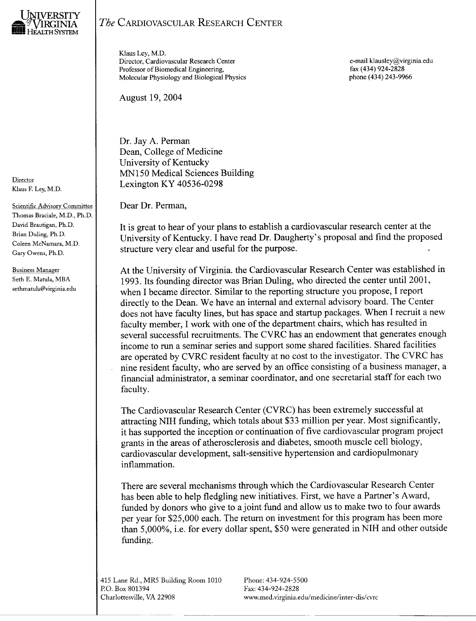

Director Klaus F. Ley, M.D.

**Scientific Advisory Committee** Thomas Braciale, M.D., Ph.D. David Brautigan, Ph.D. Brian Duling, Ph.D. Coleen McNamara, M.D. Gary Owens, Ph.D.

**Business Manager** Seth E. Matula, MBA sethmatula@virginia.edu

## The CARDIOVASCULAR RESEARCH CENTER

Klaus Lev, M.D. Director, Cardiovascular Research Center Professor of Biomedical Engineering, Molecular Physiology and Biological Physics

**August 19, 2004** 

Dr. Jay A. Perman Dean, College of Medicine University of Kentucky MN150 Medical Sciences Building Lexington KY 40536-0298

Dear Dr. Perman,

It is great to hear of your plans to establish a cardiovascular research center at the University of Kentucky. I have read Dr. Daugherty's proposal and find the proposed structure very clear and useful for the purpose.

At the University of Virginia. the Cardiovascular Research Center was established in 1993. Its founding director was Brian Duling, who directed the center until 2001, when I became director. Similar to the reporting structure you propose, I report directly to the Dean. We have an internal and external advisory board. The Center does not have faculty lines, but has space and startup packages. When I recruit a new faculty member, I work with one of the department chairs, which has resulted in several successful recruitments. The CVRC has an endowment that generates enough income to run a seminar series and support some shared facilities. Shared facilities are operated by CVRC resident faculty at no cost to the investigator. The CVRC has nine resident faculty, who are served by an office consisting of a business manager, a financial administrator, a seminar coordinator, and one secretarial staff for each two faculty.

The Cardiovascular Research Center (CVRC) has been extremely successful at attracting NIH funding, which totals about \$33 million per year. Most significantly, it has supported the inception or continuation of five cardiovascular program project grants in the areas of atherosclerosis and diabetes, smooth muscle cell biology, cardiovascular development, salt-sensitive hypertension and cardiopulmonary inflammation.

There are several mechanisms through which the Cardiovascular Research Center has been able to help fledgling new initiatives. First, we have a Partner's Award, funded by donors who give to a joint fund and allow us to make two to four awards per year for \$25,000 each. The return on investment for this program has been more than 5,000%, i.e. for every dollar spent, \$50 were generated in NIH and other outside funding.

415 Lane Rd., MR5 Building Room 1010 P.O. Box 801394 Charlottesville, VA 22908

Phone: 434-924-5500 Fax: 434-924-2828 www.med.virginia.edu/medicine/inter-dis/cvrc

e-mail klausley@virginia.edu fax (434) 924-2828 phone (434) 243-9966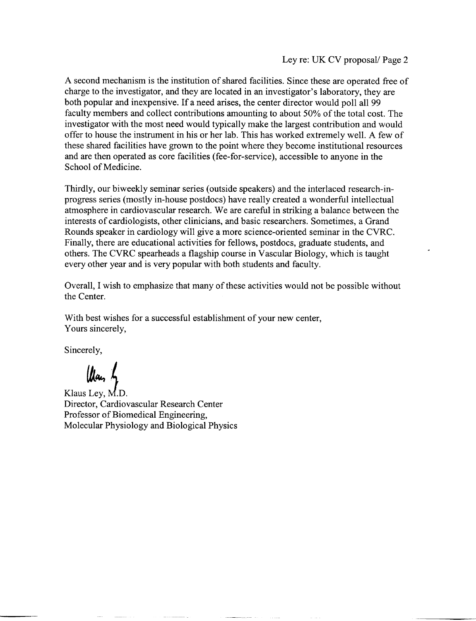A second mechanism is the institution of shared facilities. Since these are operated free of charge to the investigator, and they are located in an investigator's laboratory, they are both popular and inexpensive. If a need arises, the center director would poll all 99 faculty members and collect contributions amounting to about 50% of the total cost. The investigator with the most need would typically make the largest contribution and would offer to house the instrument in his or her lab. This has worked extremely well. A few of these shared facilities have grown to the point where they become institutional resources and are then operated as core facilities (fee-for-service), accessible to anyone in the School of Medicine.

Thirdly, our biweekly seminar series (outside speakers) and the interlaced research-inprogress series (mostly in-house postdocs) have really created a wonderful intellectual atmosphere in cardiovascular research. We are careful in striking a balance between the interests of cardiologists, other clinicians, and basic researchers. Sometimes, a Grand Rounds speaker in cardiology will give a more science-oriented seminar in the CVRC. Finally, there are educational activities for fellows, postdocs, graduate students, and others. The CVRC spearheads a flagship course in Vascular Biology, which is taught every other year and is very popular with both students and faculty.

Overall, I wish to emphasize that many of these activities would not be possible without the Center.

With best wishes for a successful establishment of your new center, Yours sincerely,

Sincerely,

llay by

Klaus Lev, M.D. Director, Cardiovascular Research Center Professor of Biomedical Engineering, Molecular Physiology and Biological Physics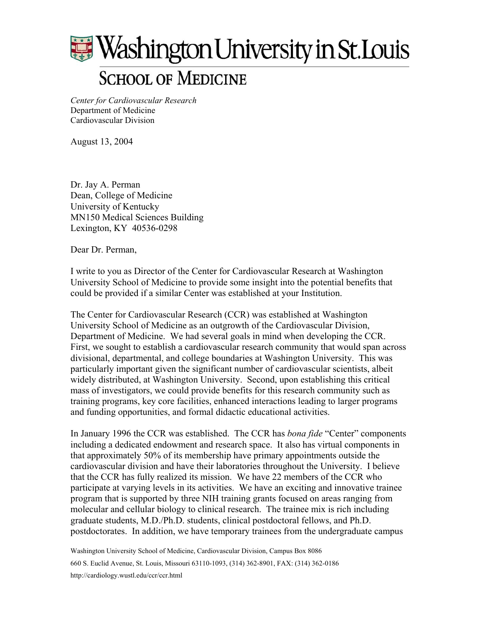

*Center for Cardiovascular Research*  Department of Medicine Cardiovascular Division

August 13, 2004

Dr. Jay A. Perman Dean, College of Medicine University of Kentucky MN150 Medical Sciences Building Lexington, KY 40536-0298

Dear Dr. Perman,

I write to you as Director of the Center for Cardiovascular Research at Washington University School of Medicine to provide some insight into the potential benefits that could be provided if a similar Center was established at your Institution.

The Center for Cardiovascular Research (CCR) was established at Washington University School of Medicine as an outgrowth of the Cardiovascular Division, Department of Medicine. We had several goals in mind when developing the CCR. First, we sought to establish a cardiovascular research community that would span across divisional, departmental, and college boundaries at Washington University. This was particularly important given the significant number of cardiovascular scientists, albeit widely distributed, at Washington University. Second, upon establishing this critical mass of investigators, we could provide benefits for this research community such as training programs, key core facilities, enhanced interactions leading to larger programs and funding opportunities, and formal didactic educational activities.

In January 1996 the CCR was established. The CCR has *bona fide* "Center" components including a dedicated endowment and research space. It also has virtual components in that approximately 50% of its membership have primary appointments outside the cardiovascular division and have their laboratories throughout the University. I believe that the CCR has fully realized its mission. We have 22 members of the CCR who participate at varying levels in its activities. We have an exciting and innovative trainee program that is supported by three NIH training grants focused on areas ranging from molecular and cellular biology to clinical research. The trainee mix is rich including graduate students, M.D./Ph.D. students, clinical postdoctoral fellows, and Ph.D. postdoctorates. In addition, we have temporary trainees from the undergraduate campus

Washington University School of Medicine, Cardiovascular Division, Campus Box 8086 660 S. Euclid Avenue, St. Louis, Missouri 63110-1093, (314) 362-8901, FAX: (314) 362-0186 http://cardiology.wustl.edu/ccr/ccr.html